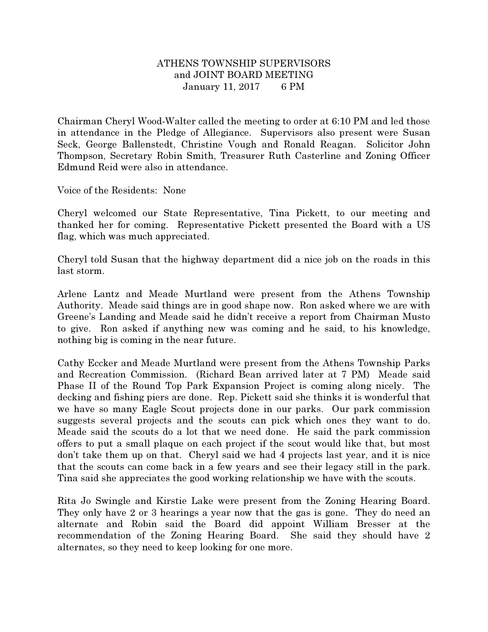## ATHENS TOWNSHIP SUPERVISORS and JOINT BOARD MEETING January 11, 2017 6 PM

Chairman Cheryl Wood-Walter called the meeting to order at 6:10 PM and led those in attendance in the Pledge of Allegiance. Supervisors also present were Susan Seck, George Ballenstedt, Christine Vough and Ronald Reagan. Solicitor John Thompson, Secretary Robin Smith, Treasurer Ruth Casterline and Zoning Officer Edmund Reid were also in attendance.

Voice of the Residents: None

Cheryl welcomed our State Representative, Tina Pickett, to our meeting and thanked her for coming. Representative Pickett presented the Board with a US flag, which was much appreciated.

Cheryl told Susan that the highway department did a nice job on the roads in this last storm.

Arlene Lantz and Meade Murtland were present from the Athens Township Authority. Meade said things are in good shape now. Ron asked where we are with Greene's Landing and Meade said he didn't receive a report from Chairman Musto to give. Ron asked if anything new was coming and he said, to his knowledge, nothing big is coming in the near future.

Cathy Eccker and Meade Murtland were present from the Athens Township Parks and Recreation Commission. (Richard Bean arrived later at 7 PM) Meade said Phase II of the Round Top Park Expansion Project is coming along nicely. The decking and fishing piers are done. Rep. Pickett said she thinks it is wonderful that we have so many Eagle Scout projects done in our parks. Our park commission suggests several projects and the scouts can pick which ones they want to do. Meade said the scouts do a lot that we need done. He said the park commission offers to put a small plaque on each project if the scout would like that, but most don't take them up on that. Cheryl said we had 4 projects last year, and it is nice that the scouts can come back in a few years and see their legacy still in the park. Tina said she appreciates the good working relationship we have with the scouts.

Rita Jo Swingle and Kirstie Lake were present from the Zoning Hearing Board. They only have 2 or 3 hearings a year now that the gas is gone. They do need an alternate and Robin said the Board did appoint William Bresser at the recommendation of the Zoning Hearing Board. She said they should have 2 alternates, so they need to keep looking for one more.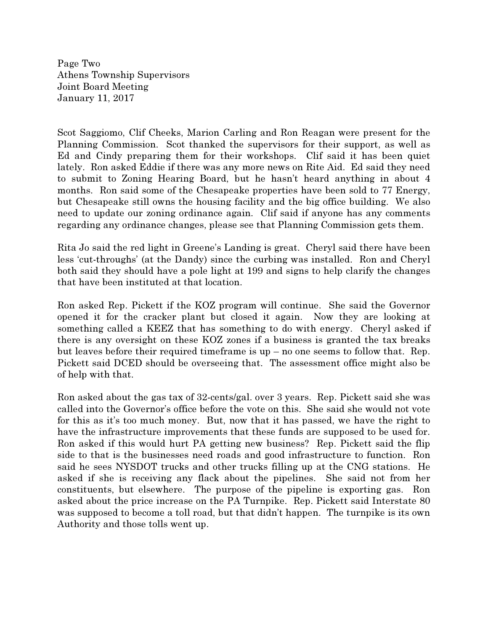Page Two Athens Township Supervisors Joint Board Meeting January 11, 2017

Scot Saggiomo, Clif Cheeks, Marion Carling and Ron Reagan were present for the Planning Commission. Scot thanked the supervisors for their support, as well as Ed and Cindy preparing them for their workshops. Clif said it has been quiet lately. Ron asked Eddie if there was any more news on Rite Aid. Ed said they need to submit to Zoning Hearing Board, but he hasn't heard anything in about 4 months. Ron said some of the Chesapeake properties have been sold to 77 Energy, but Chesapeake still owns the housing facility and the big office building. We also need to update our zoning ordinance again. Clif said if anyone has any comments regarding any ordinance changes, please see that Planning Commission gets them.

Rita Jo said the red light in Greene's Landing is great. Cheryl said there have been less 'cut-throughs' (at the Dandy) since the curbing was installed. Ron and Cheryl both said they should have a pole light at 199 and signs to help clarify the changes that have been instituted at that location.

Ron asked Rep. Pickett if the KOZ program will continue. She said the Governor opened it for the cracker plant but closed it again. Now they are looking at something called a KEEZ that has something to do with energy. Cheryl asked if there is any oversight on these KOZ zones if a business is granted the tax breaks but leaves before their required timeframe is up – no one seems to follow that. Rep. Pickett said DCED should be overseeing that. The assessment office might also be of help with that.

Ron asked about the gas tax of 32-cents/gal. over 3 years. Rep. Pickett said she was called into the Governor's office before the vote on this. She said she would not vote for this as it's too much money. But, now that it has passed, we have the right to have the infrastructure improvements that these funds are supposed to be used for. Ron asked if this would hurt PA getting new business? Rep. Pickett said the flip side to that is the businesses need roads and good infrastructure to function. Ron said he sees NYSDOT trucks and other trucks filling up at the CNG stations. He asked if she is receiving any flack about the pipelines. She said not from her constituents, but elsewhere. The purpose of the pipeline is exporting gas. Ron asked about the price increase on the PA Turnpike. Rep. Pickett said Interstate 80 was supposed to become a toll road, but that didn't happen. The turnpike is its own Authority and those tolls went up.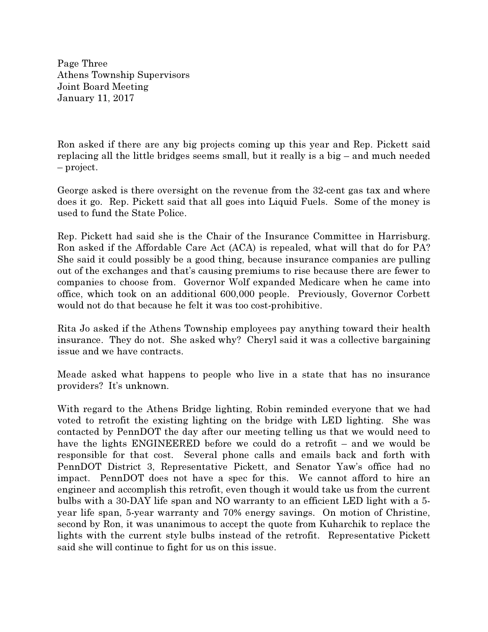Page Three Athens Township Supervisors Joint Board Meeting January 11, 2017

Ron asked if there are any big projects coming up this year and Rep. Pickett said replacing all the little bridges seems small, but it really is a big – and much needed – project.

George asked is there oversight on the revenue from the 32-cent gas tax and where does it go. Rep. Pickett said that all goes into Liquid Fuels. Some of the money is used to fund the State Police.

Rep. Pickett had said she is the Chair of the Insurance Committee in Harrisburg. Ron asked if the Affordable Care Act (ACA) is repealed, what will that do for PA? She said it could possibly be a good thing, because insurance companies are pulling out of the exchanges and that's causing premiums to rise because there are fewer to companies to choose from. Governor Wolf expanded Medicare when he came into office, which took on an additional 600,000 people. Previously, Governor Corbett would not do that because he felt it was too cost-prohibitive.

Rita Jo asked if the Athens Township employees pay anything toward their health insurance. They do not. She asked why? Cheryl said it was a collective bargaining issue and we have contracts.

Meade asked what happens to people who live in a state that has no insurance providers? It's unknown.

With regard to the Athens Bridge lighting, Robin reminded everyone that we had voted to retrofit the existing lighting on the bridge with LED lighting. She was contacted by PennDOT the day after our meeting telling us that we would need to have the lights ENGINEERED before we could do a retrofit – and we would be responsible for that cost. Several phone calls and emails back and forth with PennDOT District 3, Representative Pickett, and Senator Yaw's office had no impact. PennDOT does not have a spec for this. We cannot afford to hire an engineer and accomplish this retrofit, even though it would take us from the current bulbs with a 30-DAY life span and NO warranty to an efficient LED light with a 5 year life span, 5-year warranty and 70% energy savings. On motion of Christine, second by Ron, it was unanimous to accept the quote from Kuharchik to replace the lights with the current style bulbs instead of the retrofit. Representative Pickett said she will continue to fight for us on this issue.